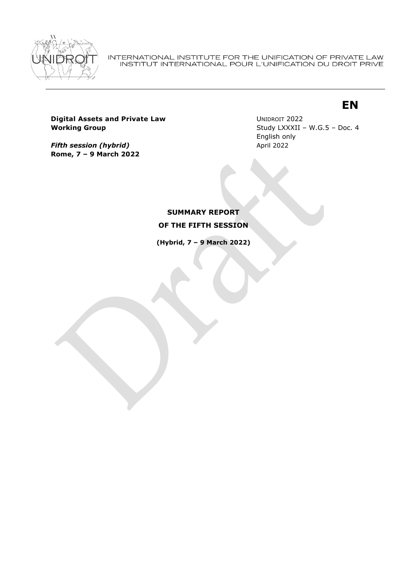

INTERNATIONAL INSTITUTE FOR THE UNIFICATION OF PRIVATE LAW<br>INSTITUT INTERNATIONAL POUR L'UNIFICATION DU DROIT PRIVE

# **EN**

**Digital Assets and Private Law Working Group**

*Fifth session (hybrid)* **Rome, 7 – 9 March 2022** UNIDROIT 2022 Study LXXXII – W.G.5 – Doc. 4 English only April 2022

**SUMMARY REPORT OF THE FIFTH SESSION**

**(Hybrid, 7 – 9 March 2022)**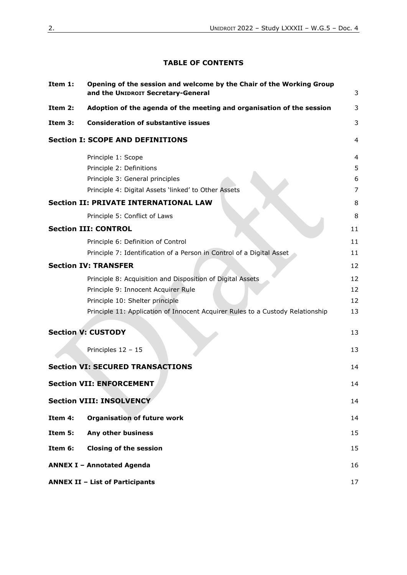### **TABLE OF CONTENTS**

| Item 1: | Opening of the session and welcome by the Chair of the Working Group<br>and the UNIDROIT Secretary-General | 3              |
|---------|------------------------------------------------------------------------------------------------------------|----------------|
| Item 2: | Adoption of the agenda of the meeting and organisation of the session                                      | 3              |
| Item 3: | <b>Consideration of substantive issues</b>                                                                 | 3              |
|         | <b>Section I: SCOPE AND DEFINITIONS</b>                                                                    | $\overline{4}$ |
|         | Principle 1: Scope                                                                                         | 4              |
|         | Principle 2: Definitions                                                                                   | 5              |
|         | Principle 3: General principles                                                                            | 6              |
|         | Principle 4: Digital Assets 'linked' to Other Assets                                                       | 7              |
|         | <b>Section II: PRIVATE INTERNATIONAL LAW</b>                                                               | 8              |
|         | Principle 5: Conflict of Laws                                                                              | 8              |
|         | <b>Section III: CONTROL</b>                                                                                | 11             |
|         | Principle 6: Definition of Control                                                                         | 11             |
|         | Principle 7: Identification of a Person in Control of a Digital Asset                                      | 11             |
|         | <b>Section IV: TRANSFER</b>                                                                                | 12             |
|         | Principle 8: Acquisition and Disposition of Digital Assets                                                 | 12             |
|         | Principle 9: Innocent Acquirer Rule                                                                        | 12             |
|         | Principle 10: Shelter principle                                                                            | 12             |
|         | Principle 11: Application of Innocent Acquirer Rules to a Custody Relationship                             | 13             |
|         | <b>Section V: CUSTODY</b>                                                                                  | 13             |
|         |                                                                                                            |                |
|         | Principles 12 - 15                                                                                         | 13             |
|         | <b>Section VI: SECURED TRANSACTIONS</b>                                                                    | 14             |
|         | <b>Section VII: ENFORCEMENT</b>                                                                            | 14             |
|         | <b>Section VIII: INSOLVENCY</b>                                                                            | 14             |
| Item 4: | <b>Organisation of future work</b>                                                                         | 14             |
| Item 5: | Any other business                                                                                         | 15             |
| Item 6: | <b>Closing of the session</b>                                                                              | 15             |
|         | <b>ANNEX I - Annotated Agenda</b>                                                                          | 16             |
|         | <b>ANNEX II - List of Participants</b>                                                                     | 17             |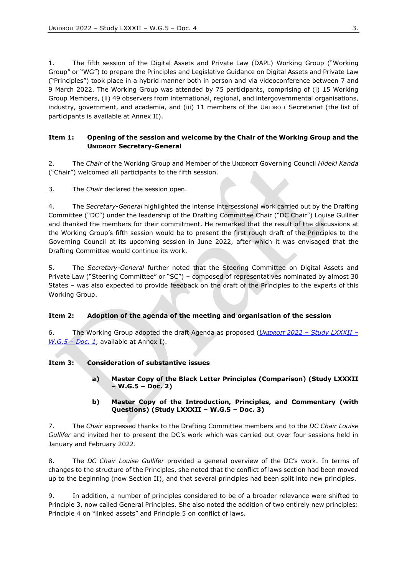1. The fifth session of the Digital Assets and Private Law (DAPL) Working Group ("Working Group" or "WG") to prepare the Principles and Legislative Guidance on Digital Assets and Private Law ("Principles") took place in a hybrid manner both in person and via videoconference between 7 and 9 March 2022. The Working Group was attended by 75 participants, comprising of (i) 15 Working Group Members, (ii) 49 observers from international, regional, and intergovernmental organisations, industry, government, and academia, and (iii) 11 members of the UNIDROIT Secretariat (the list of participants is available at Annex II).

#### <span id="page-2-0"></span>**Item 1: Opening of the session and welcome by the Chair of the Working Group and the UNIDROIT Secretary-General**

2. The *Chair* of the Working Group and Member of the UNIDROIT Governing Council *Hideki Kanda*  ("Chair") welcomed all participants to the fifth session.

3. The *Chair* declared the session open.

4. The *Secretary-General* highlighted the intense intersessional work carried out by the Drafting Committee ("DC") under the leadership of the Drafting Committee Chair ("DC Chair") Louise Gullifer and thanked the members for their commitment. He remarked that the result of the discussions at the Working Group's fifth session would be to present the first rough draft of the Principles to the Governing Council at its upcoming session in June 2022, after which it was envisaged that the Drafting Committee would continue its work.

5. The *Secretary-General* further noted that the Steering Committee on Digital Assets and Private Law ("Steering Committee" or "SC") - composed of representatives nominated by almost 30 States – was also expected to provide feedback on the draft of the Principles to the experts of this Working Group.

#### <span id="page-2-1"></span>**Item 2: Adoption of the agenda of the meeting and organisation of the session**

6. The Working Group adopted the draft Agenda as proposed (*UNIDROIT 2022 – [Study LXXXII](https://www.unidroit.org/wp-content/uploads/2022/03/W.G.5.-Doc.-1-Annotated-Agenda-Website.pdf) – [W.G.5](https://www.unidroit.org/wp-content/uploads/2022/03/W.G.5.-Doc.-1-Annotated-Agenda-Website.pdf) – Doc. 1*, available at Annex I).

#### <span id="page-2-2"></span>**Item 3: Consideration of substantive issues**

**a) Master Copy of the Black Letter Principles (Comparison) (Study LXXXII – W.G.5 – Doc. 2)**

#### **b) Master Copy of the Introduction, Principles, and Commentary (with Questions) (Study LXXXII – W.G.5 – Doc. 3)**

7. The *Chair* expressed thanks to the Drafting Committee members and to the *DC Chair Louise Gullifer* and invited her to present the DC's work which was carried out over four sessions held in January and February 2022.

8. The *DC Chair Louise Gullifer* provided a general overview of the DC's work. In terms of changes to the structure of the Principles, she noted that the conflict of laws section had been moved up to the beginning (now Section II), and that several principles had been split into new principles.

9. In addition, a number of principles considered to be of a broader relevance were shifted to Principle 3, now called General Principles. She also noted the addition of two entirely new principles: Principle 4 on "linked assets" and Principle 5 on conflict of laws.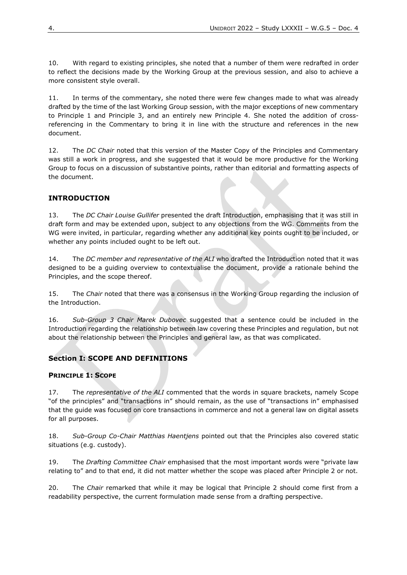10. With regard to existing principles, she noted that a number of them were redrafted in order to reflect the decisions made by the Working Group at the previous session, and also to achieve a more consistent style overall.

11. In terms of the commentary, she noted there were few changes made to what was already drafted by the time of the last Working Group session, with the major exceptions of new commentary to Principle 1 and Principle 3, and an entirely new Principle 4. She noted the addition of crossreferencing in the Commentary to bring it in line with the structure and references in the new document.

12. The *DC Chair* noted that this version of the Master Copy of the Principles and Commentary was still a work in progress, and she suggested that it would be more productive for the Working Group to focus on a discussion of substantive points, rather than editorial and formatting aspects of the document.

## **INTRODUCTION**

13. The *DC Chair Louise Gullifer* presented the draft Introduction, emphasising that it was still in draft form and may be extended upon, subject to any objections from the WG. Comments from the WG were invited, in particular, regarding whether any additional key points ought to be included, or whether any points included ought to be left out.

14. The *DC member and representative of the ALI* who drafted the Introduction noted that it was designed to be a guiding overview to contextualise the document, provide a rationale behind the Principles, and the scope thereof.

15. The *Chair* noted that there was a consensus in the Working Group regarding the inclusion of the Introduction.

16. *Sub-Group 3 Chair Marek Dubovec* suggested that a sentence could be included in the Introduction regarding the relationship between law covering these Principles and regulation, but not about the relationship between the Principles and general law, as that was complicated.

# <span id="page-3-0"></span>**Section I: SCOPE AND DEFINITIONS**

#### <span id="page-3-1"></span>**PRINCIPLE 1: SCOPE**

17. The *representative of the ALI* commented that the words in square brackets, namely Scope "of the principles" and "transactions in" should remain, as the use of "transactions in" emphasised that the guide was focused on core transactions in commerce and not a general law on digital assets for all purposes.

18. *Sub-Group Co-Chair Matthias Haentjens* pointed out that the Principles also covered static situations (e.g. custody).

19. The *Drafting Committee Chair* emphasised that the most important words were "private law relating to" and to that end, it did not matter whether the scope was placed after Principle 2 or not.

20. The *Chair* remarked that while it may be logical that Principle 2 should come first from a readability perspective, the current formulation made sense from a drafting perspective.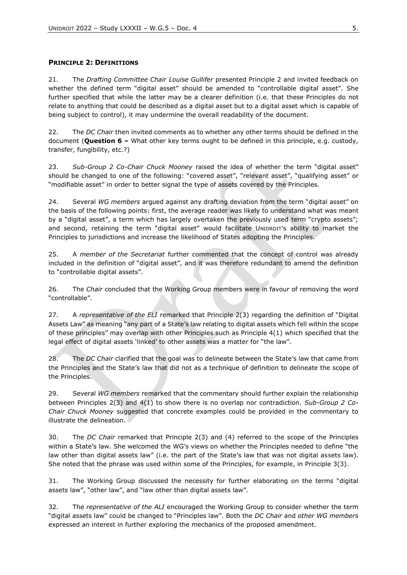#### <span id="page-4-0"></span>**PRINCIPLE 2: DEFINITIONS**

21. The *Drafting Committee Chair Louise Gullifer* presented Principle 2 and invited feedback on whether the defined term "digital asset" should be amended to "controllable digital asset". She further specified that while the latter may be a clearer definition (i.e. that these Principles do not relate to anything that could be described as a digital asset but to a digital asset which is capable of being subject to control), it may undermine the overall readability of the document.

22. The *DC Chair* then invited comments as to whether any other terms should be defined in the document (**Question 6 –** What other key terms ought to be defined in this principle, e.g. custody, transfer, fungibility, etc.?)

23. *Sub-Group 2 Co-Chair Chuck Mooney* raised the idea of whether the term "digital asset" should be changed to one of the following: "covered asset", "relevant asset", "qualifying asset" or "modifiable asset" in order to better signal the type of assets covered by the Principles.

24. Several *WG members* argued against any drafting deviation from the term "digital asset" on the basis of the following points: first, the average reader was likely to understand what was meant by a "digital asset", a term which has largely overtaken the previously used term "crypto assets"; and second, retaining the term "digital asset" would facilitate UNIDROIT's ability to market the Principles to jurisdictions and increase the likelihood of States adopting the Principles.

25. A *member of the Secretariat* further commented that the concept of control was already included in the definition of "digital asset", and it was therefore redundant to amend the definition to "controllable digital assets".

26. The *Chair* concluded that the Working Group members were in favour of removing the word "controllable".

27. A *representative of the ELI* remarked that Principle 2(3) regarding the definition of "Digital Assets Law" as meaning "any part of a State's law relating to digital assets which fell within the scope of these principles" may overlap with other Principles such as Principle 4(1) which specified that the legal effect of digital assets 'linked' to other assets was a matter for "the law".

28. The *DC Chair* clarified that the goal was to delineate between the State's law that came from the Principles and the State's law that did not as a technique of definition to delineate the scope of the Principles.

29. Several *WG members* remarked that the commentary should further explain the relationship between Principles 2(3) and 4(1) to show there is no overlap nor contradiction. *Sub-Group 2 Co-Chair Chuck Mooney* suggested that concrete examples could be provided in the commentary to illustrate the delineation.

30. The *DC Chair* remarked that Principle 2(3) and (4) referred to the scope of the Principles within a State's law. She welcomed the WG's views on whether the Principles needed to define "the law other than digital assets law" (i.e. the part of the State's law that was not digital assets law). She noted that the phrase was used within some of the Principles, for example, in Principle 3(3).

31. The Working Group discussed the necessity for further elaborating on the terms "digital assets law", "other law", and "law other than digital assets law".

32. The *representative of the ALI* encouraged the Working Group to consider whether the term "digital assets law" could be changed to "Principles law". Both the *DC Chair* and *other WG members*  expressed an interest in further exploring the mechanics of the proposed amendment.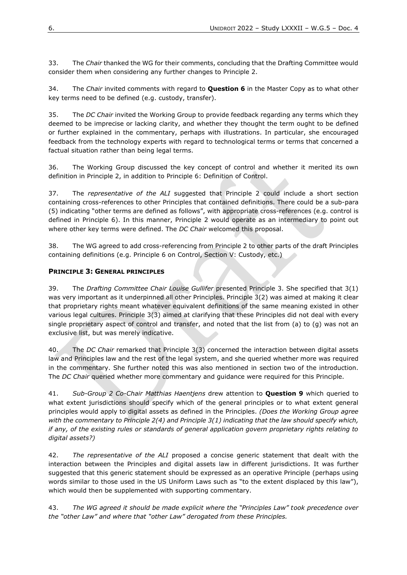33. The *Chair* thanked the WG for their comments, concluding that the Drafting Committee would consider them when considering any further changes to Principle 2.

34. The *Chair* invited comments with regard to **Question 6** in the Master Copy as to what other key terms need to be defined (e.g. custody, transfer).

35. The *DC Chair* invited the Working Group to provide feedback regarding any terms which they deemed to be imprecise or lacking clarity, and whether they thought the term ought to be defined or further explained in the commentary, perhaps with illustrations. In particular, she encouraged feedback from the technology experts with regard to technological terms or terms that concerned a factual situation rather than being legal terms.

36. The Working Group discussed the key concept of control and whether it merited its own definition in Principle 2, in addition to Principle 6: Definition of Control.

37. The *representative of the ALI* suggested that Principle 2 could include a short section containing cross-references to other Principles that contained definitions. There could be a sub-para (5) indicating "other terms are defined as follows", with appropriate cross-references (e.g. control is defined in Principle 6). In this manner, Principle 2 would operate as an intermediary to point out where other key terms were defined. The *DC Chair* welcomed this proposal.

38. The WG agreed to add cross-referencing from Principle 2 to other parts of the draft Principles containing definitions (e.g. Principle 6 on Control, Section V: Custody, etc.)

#### <span id="page-5-0"></span>**PRINCIPLE 3: GENERAL PRINCIPLES**

39. The *Drafting Committee Chair Louise Gullifer* presented Principle 3. She specified that 3(1) was very important as it underpinned all other Principles. Principle 3(2) was aimed at making it clear that proprietary rights meant whatever equivalent definitions of the same meaning existed in other various legal cultures. Principle 3(3) aimed at clarifying that these Principles did not deal with every single proprietary aspect of control and transfer, and noted that the list from (a) to (g) was not an exclusive list, but was merely indicative.

40. The *DC Chair* remarked that Principle 3(3) concerned the interaction between digital assets law and Principles law and the rest of the legal system, and she queried whether more was required in the commentary. She further noted this was also mentioned in section two of the introduction. The *DC Chair* queried whether more commentary and guidance were required for this Principle.

41. *Sub-Group 2 Co-Chair Matthias Haentjens* drew attention to **Question 9** which queried to what extent jurisdictions should specify which of the general principles or to what extent general principles would apply to digital assets as defined in the Principles. *(Does the Working Group agree with the commentary to Principle 2(4) and Principle 3(1) indicating that the law should specify which, if any, of the existing rules or standards of general application govern proprietary rights relating to digital assets?)* 

42. *The representative of the ALI* proposed a concise generic statement that dealt with the interaction between the Principles and digital assets law in different jurisdictions. It was further suggested that this generic statement should be expressed as an operative Principle (perhaps using words similar to those used in the US Uniform Laws such as "to the extent displaced by this law"), which would then be supplemented with supporting commentary.

43. *The WG agreed it should be made explicit where the "Principles Law" took precedence over the "other Law" and where that "other Law" derogated from these Principles.*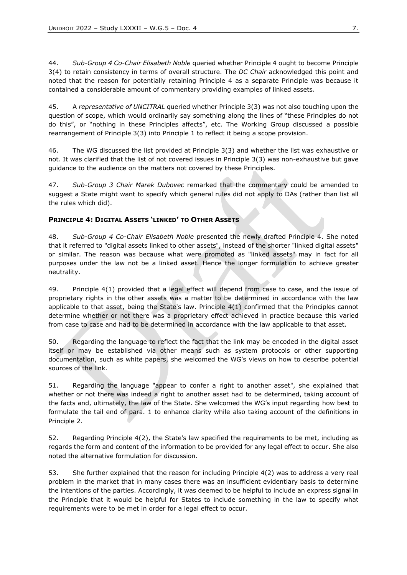44. *Sub-Group 4 Co-Chair Elisabeth Noble* queried whether Principle 4 ought to become Principle 3(4) to retain consistency in terms of overall structure. The *DC Chair* acknowledged this point and noted that the reason for potentially retaining Principle 4 as a separate Principle was because it contained a considerable amount of commentary providing examples of linked assets.

45. A *representative of UNCITRAL* queried whether Principle 3(3) was not also touching upon the question of scope, which would ordinarily say something along the lines of "these Principles do not do this", or "nothing in these Principles affects", etc. The Working Group discussed a possible rearrangement of Principle 3(3) into Principle 1 to reflect it being a scope provision.

46. The WG discussed the list provided at Principle 3(3) and whether the list was exhaustive or not. It was clarified that the list of not covered issues in Principle 3(3) was non-exhaustive but gave guidance to the audience on the matters not covered by these Principles.

47. *Sub-Group 3 Chair Marek Dubovec* remarked that the commentary could be amended to suggest a State might want to specify which general rules did not apply to DAs (rather than list all the rules which did).

#### <span id="page-6-0"></span>**PRINCIPLE 4: DIGITAL ASSETS 'LINKED' TO OTHER ASSETS**

48. *Sub-Group 4 Co-Chair Elisabeth Noble* presented the newly drafted Principle 4. She noted that it referred to "digital assets linked to other assets", instead of the shorter "linked digital assets" or similar. The reason was because what were promoted as "linked assets" may in fact for all purposes under the law not be a linked asset. Hence the longer formulation to achieve greater neutrality.

49. Principle 4(1) provided that a legal effect will depend from case to case, and the issue of proprietary rights in the other assets was a matter to be determined in accordance with the law applicable to that asset, being the State's law. Principle 4(1) confirmed that the Principles cannot determine whether or not there was a proprietary effect achieved in practice because this varied from case to case and had to be determined in accordance with the law applicable to that asset.

50. Regarding the language to reflect the fact that the link may be encoded in the digital asset itself or may be established via other means such as system protocols or other supporting documentation, such as white papers, she welcomed the WG's views on how to describe potential sources of the link.

51. Regarding the language "appear to confer a right to another asset", she explained that whether or not there was indeed a right to another asset had to be determined, taking account of the facts and, ultimately, the law of the State. She welcomed the WG's input regarding how best to formulate the tail end of para. 1 to enhance clarity while also taking account of the definitions in Principle 2.

52. Regarding Principle 4(2), the State's law specified the requirements to be met, including as regards the form and content of the information to be provided for any legal effect to occur. She also noted the alternative formulation for discussion.

53. She further explained that the reason for including Principle 4(2) was to address a very real problem in the market that in many cases there was an insufficient evidentiary basis to determine the intentions of the parties. Accordingly, it was deemed to be helpful to include an express signal in the Principle that it would be helpful for States to include something in the law to specify what requirements were to be met in order for a legal effect to occur.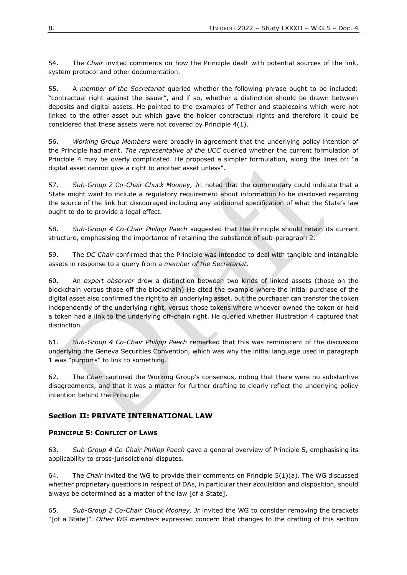54. The *Chair* invited comments on how the Principle dealt with potential sources of the link, system protocol and other documentation.

55. A *member of the Secretariat* queried whether the following phrase ought to be included: "contractual right against the issuer", and if so, whether a distinction should be drawn between deposits and digital assets. He pointed to the examples of Tether and stablecoins which were not linked to the other asset but which gave the holder contractual rights and therefore it could be considered that these assets were not covered by Principle 4(1).

56. *Working Group Members* were broadly in agreement that the underlying policy intention of the Principle had merit. *The representative of the UCC* queried whether the current formulation of Principle 4 may be overly complicated. He proposed a simpler formulation, along the lines of: "a digital asset cannot give a right to another asset unless".

57. *Sub-Group 2 Co-Chair Chuck Mooney, Jr.* noted that the commentary could indicate that a State might want to include a regulatory requirement about information to be disclosed regarding the source of the link but discouraged including any additional specification of what the State's law ought to do to provide a legal effect.

58. *Sub-Group 4 Co-Chair Philipp Paech* suggested that the Principle should retain its current structure, emphasising the importance of retaining the substance of sub-paragraph 2.

59. The *DC Chair* confirmed that the Principle was intended to deal with tangible and intangible assets in response to a query from a *member of the Secretariat*.

60. An *expert observer* drew a distinction between two kinds of linked assets (those on the blockchain versus those off the blockchain) He cited the example where the initial purchase of the digital asset also confirmed the right to an underlying asset, but the purchaser can transfer the token independently of the underlying right, versus those tokens where whoever owned the token or held a token had a link to the underlying off-chain right. He queried whether illustration 4 captured that distinction.

61. *Sub-Group 4 Co-Chair Philipp Paech* remarked that this was reminiscent of the discussion underlying the Geneva Securities Convention, which was why the initial language used in paragraph 1 was "purports" to link to something.

62. The *Chair* captured the Working Group's consensus, noting that there were no substantive disagreements, and that it was a matter for further drafting to clearly reflect the underlying policy intention behind the Principle.

# <span id="page-7-0"></span>**Section II: PRIVATE INTERNATIONAL LAW**

#### <span id="page-7-1"></span>**PRINCIPLE 5: CONFLICT OF LAWS**

63. *Sub-Group 4 Co-Chair Philipp Paech* gave a general overview of Principle 5, emphasising its applicability to cross-jurisdictional disputes.

64. The *Chair* invited the WG to provide their comments on Principle 5(1)(a). The WG discussed whether proprietary questions in respect of DAs, in particular their acquisition and disposition, should always be determined as a matter of the law [of a State].

65. *Sub-Group 2 Co-Chair Chuck Mooney, Jr* invited the WG to consider removing the brackets "[of a State]". *Other WG members* expressed concern that changes to the drafting of this section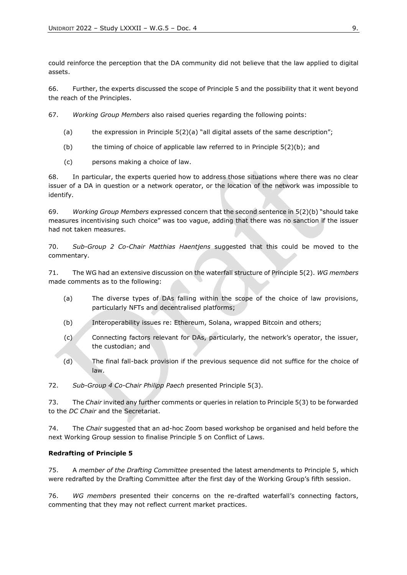could reinforce the perception that the DA community did not believe that the law applied to digital assets.

66. Further, the experts discussed the scope of Principle 5 and the possibility that it went beyond the reach of the Principles.

67. *Working Group Members* also raised queries regarding the following points:

- (a) the expression in Principle  $5(2)(a)$  "all digital assets of the same description";
- (b) the timing of choice of applicable law referred to in Principle  $5(2)(b)$ ; and
- (c) persons making a choice of law.

68. In particular, the experts queried how to address those situations where there was no clear issuer of a DA in question or a network operator, or the location of the network was impossible to identify.

69. *Working Group Members* expressed concern that the second sentence in 5(2)(b) "should take measures incentivising such choice" was too vague, adding that there was no sanction if the issuer had not taken measures.

70. *Sub-Group 2 Co-Chair Matthias Haentjens* suggested that this could be moved to the commentary.

71. The WG had an extensive discussion on the waterfall structure of Principle 5(2). *WG members* made comments as to the following:

- (a) The diverse types of DAs falling within the scope of the choice of law provisions, particularly NFTs and decentralised platforms;
- (b) Interoperability issues re: Ethereum, Solana, wrapped Bitcoin and others;
- (c) Connecting factors relevant for DAs, particularly, the network's operator, the issuer, the custodian; and
- (d) The final fall-back provision if the previous sequence did not suffice for the choice of law.

72. *Sub-Group 4 Co-Chair Philipp Paech* presented Principle 5(3).

73. The *Chair* invited any further comments or queries in relation to Principle 5(3) to be forwarded to the *DC Chair* and the Secretariat.

74. The *Chair* suggested that an ad-hoc Zoom based workshop be organised and held before the next Working Group session to finalise Principle 5 on Conflict of Laws.

#### **Redrafting of Principle 5**

75. A *member of the Drafting Committee* presented the latest amendments to Principle 5, which were redrafted by the Drafting Committee after the first day of the Working Group's fifth session.

76. *WG members* presented their concerns on the re-drafted waterfall's connecting factors, commenting that they may not reflect current market practices.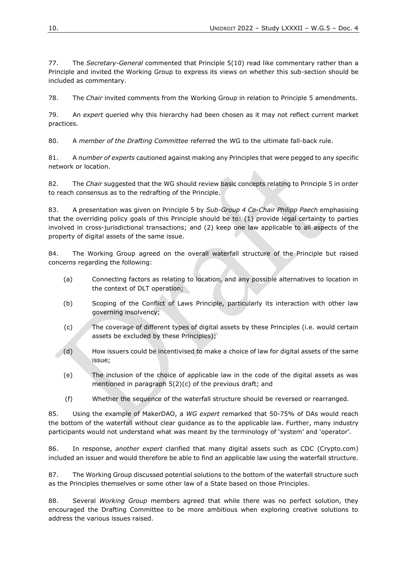77. The *Secretary-General* commented that Principle 5(10) read like commentary rather than a Principle and invited the Working Group to express its views on whether this sub-section should be included as commentary.

78. The *Chair* invited comments from the Working Group in relation to Principle 5 amendments.

79. An *expert* queried why this hierarchy had been chosen as it may not reflect current market practices.

80. A *member of the Drafting Committee* referred the WG to the ultimate fall-back rule.

81. A *number of experts* cautioned against making any Principles that were pegged to any specific network or location.

82. The *Chair* suggested that the WG should review basic concepts relating to Principle 5 in order to reach consensus as to the redrafting of the Principle.

83. A presentation was given on Principle 5 by *Sub-Group 4 Co-Chair Philipp Paech* emphasising that the overriding policy goals of this Principle should be to: (1) provide legal certainty to parties involved in cross-jurisdictional transactions; and (2) keep one law applicable to all aspects of the property of digital assets of the same issue.

84. The Working Group agreed on the overall waterfall structure of the Principle but raised concerns regarding the following:

- (a) Connecting factors as relating to location, and any possible alternatives to location in the context of DLT operation;
- (b) Scoping of the Conflict of Laws Principle, particularly its interaction with other law governing insolvency;
- (c) The coverage of different types of digital assets by these Principles (i.e. would certain assets be excluded by these Principles);
- (d) How issuers could be incentivised to make a choice of law for digital assets of the same issue;
- (e) The inclusion of the choice of applicable law in the code of the digital assets as was mentioned in paragraph 5(2)(c) of the previous draft; and
- (f) Whether the sequence of the waterfall structure should be reversed or rearranged.

85. Using the example of MakerDAO, a *WG expert* remarked that 50-75% of DAs would reach the bottom of the waterfall without clear guidance as to the applicable law. Further, many industry participants would not understand what was meant by the terminology of 'system' and 'operator'.

86. In response, *another expert* clarified that many digital assets such as CDC (Crypto.com) included an issuer and would therefore be able to find an applicable law using the waterfall structure.

87. The Working Group discussed potential solutions to the bottom of the waterfall structure such as the Principles themselves or some other law of a State based on those Principles.

88. Several *Working Group* members agreed that while there was no perfect solution, they encouraged the Drafting Committee to be more ambitious when exploring creative solutions to address the various issues raised.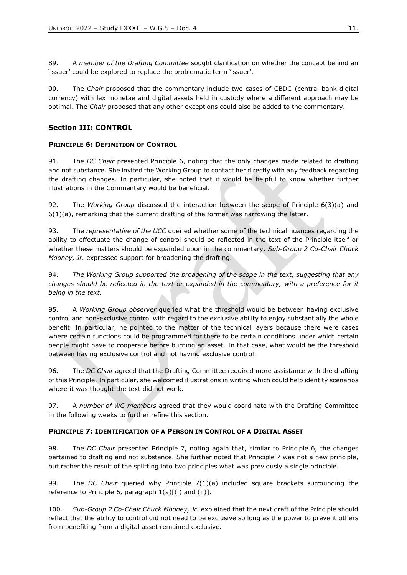89. A *member of the Drafting Committee* sought clarification on whether the concept behind an 'issuer' could be explored to replace the problematic term 'issuer'.

90. The *Chair* proposed that the commentary include two cases of CBDC (central bank digital currency) with lex monetae and digital assets held in custody where a different approach may be optimal. The *Chair* proposed that any other exceptions could also be added to the commentary.

# <span id="page-10-0"></span>**Section III: CONTROL**

#### <span id="page-10-1"></span>**PRINCIPLE 6: DEFINITION OF CONTROL**

91. The *DC Chair* presented Principle 6, noting that the only changes made related to drafting and not substance. She invited the Working Group to contact her directly with any feedback regarding the drafting changes. In particular, she noted that it would be helpful to know whether further illustrations in the Commentary would be beneficial.

92. The *Working Group* discussed the interaction between the scope of Principle 6(3)(a) and  $6(1)(a)$ , remarking that the current drafting of the former was narrowing the latter.

93. The *representative of the UCC* queried whether some of the technical nuances regarding the ability to effectuate the change of control should be reflected in the text of the Principle itself or whether these matters should be expanded upon in the commentary. *Sub-Group 2 Co-Chair Chuck Mooney, Jr.* expressed support for broadening the drafting.

94. *The Working Group supported the broadening of the scope in the text, suggesting that any changes should be reflected in the text or expanded in the commentary, with a preference for it being in the text.* 

95. A *Working Group observer* queried what the threshold would be between having exclusive control and non-exclusive control with regard to the exclusive ability to enjoy substantially the whole benefit. In particular, he pointed to the matter of the technical layers because there were cases where certain functions could be programmed for there to be certain conditions under which certain people might have to cooperate before burning an asset. In that case, what would be the threshold between having exclusive control and not having exclusive control.

96. The *DC Chair* agreed that the Drafting Committee required more assistance with the drafting of this Principle. In particular, she welcomed illustrations in writing which could help identity scenarios where it was thought the text did not work.

97. A *number of WG members* agreed that they would coordinate with the Drafting Committee in the following weeks to further refine this section.

#### <span id="page-10-2"></span>**PRINCIPLE 7: IDENTIFICATION OF A PERSON IN CONTROL OF A DIGITAL ASSET**

98. The *DC Chair* presented Principle 7, noting again that, similar to Principle 6, the changes pertained to drafting and not substance. She further noted that Principle 7 was not a new principle, but rather the result of the splitting into two principles what was previously a single principle.

99. The *DC Chair* queried why Principle 7(1)(a) included square brackets surrounding the reference to Principle 6, paragraph  $1(a)[(i)$  and  $(ii)].$ 

100. *Sub-Group 2 Co-Chair Chuck Mooney, Jr.* explained that the next draft of the Principle should reflect that the ability to control did not need to be exclusive so long as the power to prevent others from benefiting from a digital asset remained exclusive.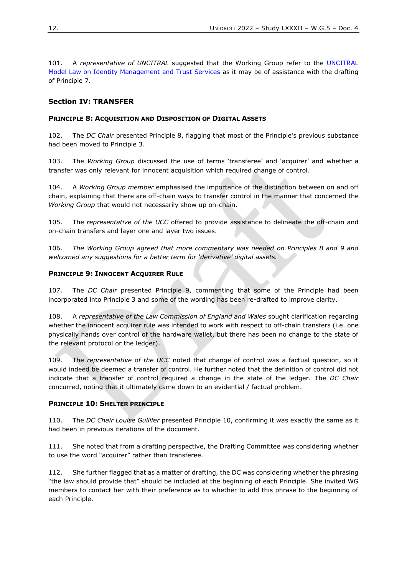101. A *representative of UNCITRAL* suggested that the Working Group refer to the [UNCITRAL](https://uncitral.un.org/sites/uncitral.un.org/files/media-documents/uncitral/en/acn9-1112-e.pdf)  [Model Law on Identity Management and Trust Services](https://uncitral.un.org/sites/uncitral.un.org/files/media-documents/uncitral/en/acn9-1112-e.pdf) as it may be of assistance with the drafting of Principle 7.

### <span id="page-11-0"></span>**Section IV: TRANSFER**

#### <span id="page-11-1"></span>**PRINCIPLE 8: ACQUISITION AND DISPOSITION OF DIGITAL ASSETS**

102. The *DC Chair* presented Principle 8, flagging that most of the Principle's previous substance had been moved to Principle 3.

103. The *Working Group* discussed the use of terms 'transferee' and 'acquirer' and whether a transfer was only relevant for innocent acquisition which required change of control.

104. A *Working Group member* emphasised the importance of the distinction between on and off chain, explaining that there are off-chain ways to transfer control in the manner that concerned the *Working Group* that would not necessarily show up on-chain.

105. The *representative of the UCC* offered to provide assistance to delineate the off-chain and on-chain transfers and layer one and layer two issues.

106. *The Working Group agreed that more commentary was needed on Principles 8 and 9 and welcomed any suggestions for a better term for 'derivative' digital assets.* 

#### <span id="page-11-2"></span>**PRINCIPLE 9: INNOCENT ACOUIRER RULE**

107. The *DC Chair* presented Principle 9, commenting that some of the Principle had been incorporated into Principle 3 and some of the wording has been re-drafted to improve clarity.

108. A *representative of the Law Commission of England and Wales* sought clarification regarding whether the innocent acquirer rule was intended to work with respect to off-chain transfers (i.e. one physically hands over control of the hardware wallet, but there has been no change to the state of the relevant protocol or the ledger).

109. The *representative of the UCC* noted that change of control was a factual question, so it would indeed be deemed a transfer of control. He further noted that the definition of control did not indicate that a transfer of control required a change in the state of the ledger. The *DC Chair*  concurred, noting that it ultimately came down to an evidential / factual problem.

#### <span id="page-11-3"></span>**PRINCIPLE 10: SHELTER PRINCIPLE**

110. The *DC Chair Louise Gullifer* presented Principle 10, confirming it was exactly the same as it had been in previous iterations of the document.

111. She noted that from a drafting perspective, the Drafting Committee was considering whether to use the word "acquirer" rather than transferee.

112. She further flagged that as a matter of drafting, the DC was considering whether the phrasing "the law should provide that" should be included at the beginning of each Principle. She invited WG members to contact her with their preference as to whether to add this phrase to the beginning of each Principle.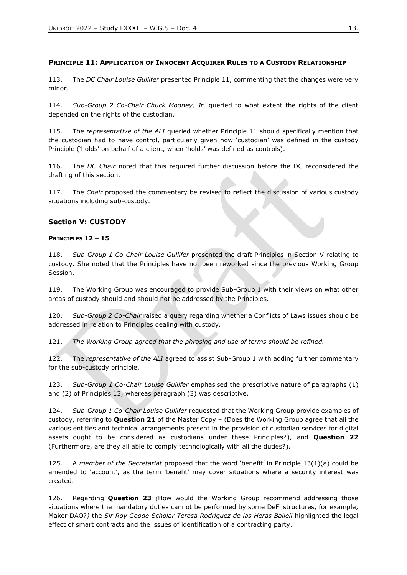#### <span id="page-12-0"></span>**PRINCIPLE 11: APPLICATION OF INNOCENT ACQUIRER RULES TO A CUSTODY RELATIONSHIP**

113. The *DC Chair Louise Gullifer* presented Principle 11, commenting that the changes were very minor.

114. *Sub-Group 2 Co-Chair Chuck Mooney, Jr.* queried to what extent the rights of the client depended on the rights of the custodian.

115. The *representative of the ALI* queried whether Principle 11 should specifically mention that the custodian had to have control, particularly given how 'custodian' was defined in the custody Principle ('holds' on behalf of a client, when 'holds' was defined as controls).

116. The *DC Chair* noted that this required further discussion before the DC reconsidered the drafting of this section.

117. The *Chair* proposed the commentary be revised to reflect the discussion of various custody situations including sub-custody.

#### <span id="page-12-1"></span>**Section V: CUSTODY**

#### <span id="page-12-2"></span>**PRINCIPLES 12 – 15**

118. *Sub-Group 1 Co-Chair Louise Gullifer* presented the draft Principles in Section V relating to custody. She noted that the Principles have not been reworked since the previous Working Group Session.

119. The Working Group was encouraged to provide Sub-Group 1 with their views on what other areas of custody should and should not be addressed by the Principles.

120. *Sub-Group 2 Co-Chair* raised a query regarding whether a Conflicts of Laws issues should be addressed in relation to Principles dealing with custody.

121. *The Working Group agreed that the phrasing and use of terms should be refined.* 

122. The *representative of the ALI* agreed to assist Sub-Group 1 with adding further commentary for the sub-custody principle.

123. *Sub-Group 1 Co-Chair Louise Gullifer* emphasised the prescriptive nature of paragraphs (1) and (2) of Principles 13, whereas paragraph (3) was descriptive.

124. *Sub-Group 1 Co-Chair Louise Gullifer* requested that the Working Group provide examples of custody, referring to **Question 21** of the Master Copy – (Does the Working Group agree that all the various entities and technical arrangements present in the provision of custodian services for digital assets ought to be considered as custodians under these Principles?), and **Question 22** (Furthermore, are they all able to comply technologically with all the duties?).

125. A *member of the Secretariat* proposed that the word 'benefit' in Principle 13(1)(a) could be amended to 'account', as the term 'benefit' may cover situations where a security interest was created.

126. Regarding **Question 23** *(*How would the Working Group recommend addressing those situations where the mandatory duties cannot be performed by some DeFi structures, for example, Maker DAO?*)* the *Sir Roy Goode Scholar Teresa Rodriguez de las Heras Ballell* highlighted the legal effect of smart contracts and the issues of identification of a contracting party.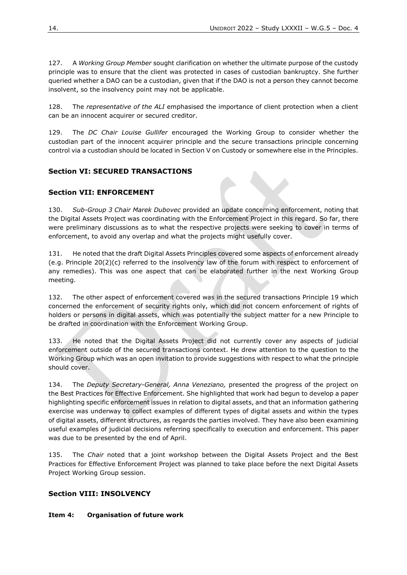127. A *Working Group Member* sought clarification on whether the ultimate purpose of the custody principle was to ensure that the client was protected in cases of custodian bankruptcy. She further queried whether a DAO can be a custodian, given that if the DAO is not a person they cannot become insolvent, so the insolvency point may not be applicable.

128. The *representative of the ALI* emphasised the importance of client protection when a client can be an innocent acquirer or secured creditor.

129. The *DC Chair Louise Gullifer* encouraged the Working Group to consider whether the custodian part of the innocent acquirer principle and the secure transactions principle concerning control via a custodian should be located in Section V on Custody or somewhere else in the Principles.

## <span id="page-13-0"></span>**Section VI: SECURED TRANSACTIONS**

#### <span id="page-13-1"></span>**Section VII: ENFORCEMENT**

130. *Sub-Group 3 Chair Marek Dubovec* provided an update concerning enforcement, noting that the Digital Assets Project was coordinating with the Enforcement Project in this regard. So far, there were preliminary discussions as to what the respective projects were seeking to cover in terms of enforcement, to avoid any overlap and what the projects might usefully cover.

131. He noted that the draft Digital Assets Principles covered some aspects of enforcement already (e.g. Principle 20(2)(c) referred to the insolvency law of the forum with respect to enforcement of any remedies). This was one aspect that can be elaborated further in the next Working Group meeting.

132. The other aspect of enforcement covered was in the secured transactions Principle 19 which concerned the enforcement of security rights only, which did not concern enforcement of rights of holders or persons in digital assets, which was potentially the subject matter for a new Principle to be drafted in coordination with the Enforcement Working Group.

133. He noted that the Digital Assets Project did not currently cover any aspects of judicial enforcement outside of the secured transactions context. He drew attention to the question to the Working Group which was an open invitation to provide suggestions with respect to what the principle should cover.

134. The *Deputy Secretary-General, Anna Veneziano,* presented the progress of the project on the Best Practices for Effective Enforcement. She highlighted that work had begun to develop a paper highlighting specific enforcement issues in relation to digital assets, and that an information gathering exercise was underway to collect examples of different types of digital assets and within the types of digital assets, different structures, as regards the parties involved. They have also been examining useful examples of judicial decisions referring specifically to execution and enforcement. This paper was due to be presented by the end of April.

135. The *Chair* noted that a joint workshop between the Digital Assets Project and the Best Practices for Effective Enforcement Project was planned to take place before the next Digital Assets Project Working Group session.

#### <span id="page-13-2"></span>**Section VIII: INSOLVENCY**

#### <span id="page-13-3"></span>**Item 4: Organisation of future work**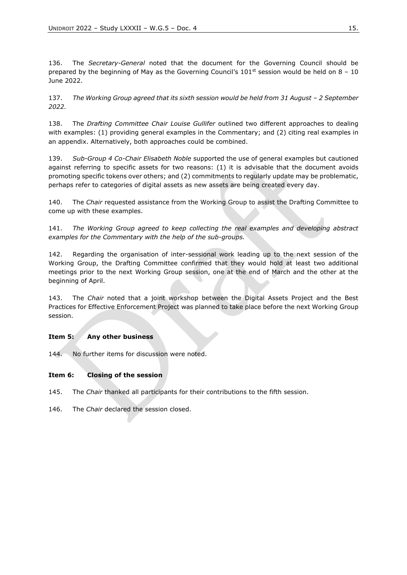136. The *Secretary-General* noted that the document for the Governing Council should be prepared by the beginning of May as the Governing Council's  $101<sup>st</sup>$  session would be held on 8 – 10 June 2022.

137. The Working Group agreed that its sixth session would be held from 31 August - 2 September *2022.* 

138. The *Drafting Committee Chair Louise Gullifer* outlined two different approaches to dealing with examples: (1) providing general examples in the Commentary; and (2) citing real examples in an appendix. Alternatively, both approaches could be combined.

139. *Sub-Group 4 Co-Chair Elisabeth Noble* supported the use of general examples but cautioned against referring to specific assets for two reasons: (1) it is advisable that the document avoids promoting specific tokens over others; and (2) commitments to regularly update may be problematic, perhaps refer to categories of digital assets as new assets are being created every day.

140. The *Chair* requested assistance from the Working Group to assist the Drafting Committee to come up with these examples.

141. *The Working Group agreed to keep collecting the real examples and developing abstract examples for the Commentary with the help of the sub-groups.* 

142. Regarding the organisation of inter-sessional work leading up to the next session of the Working Group, the Drafting Committee confirmed that they would hold at least two additional meetings prior to the next Working Group session, one at the end of March and the other at the beginning of April.

143. The *Chair* noted that a joint workshop between the Digital Assets Project and the Best Practices for Effective Enforcement Project was planned to take place before the next Working Group session.

#### <span id="page-14-0"></span>**Item 5: Any other business**

144. No further items for discussion were noted.

#### <span id="page-14-1"></span>**Item 6: Closing of the session**

- 145. The *Chair* thanked all participants for their contributions to the fifth session.
- 146. The *Chair* declared the session closed.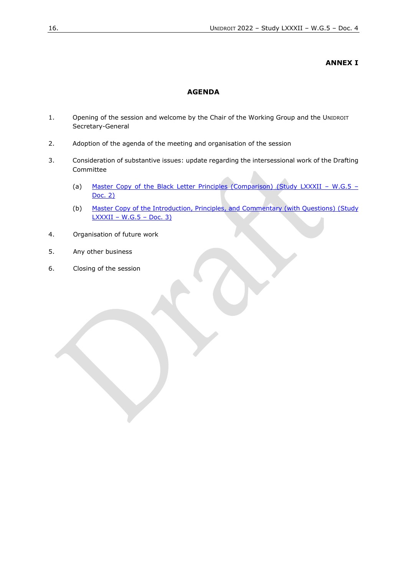#### **ANNEX I**

#### **AGENDA**

- <span id="page-15-0"></span>1. Opening of the session and welcome by the Chair of the Working Group and the UNIDROIT Secretary-General
- 2. Adoption of the agenda of the meeting and organisation of the session
- 3. Consideration of substantive issues: update regarding the intersessional work of the Drafting Committee
	- (a) [Master Copy of the Black Letter Principles \(Comparison\) \(Study LXXXII](https://www.unidroit.org/wp-content/uploads/2022/03/W.G.5.-Doc.-2-Master-Copy-of-the-Black-Letter-Principles-Comparison.pdf) W.G.5 [Doc.](https://www.unidroit.org/wp-content/uploads/2022/03/W.G.5.-Doc.-2-Master-Copy-of-the-Black-Letter-Principles-Comparison.pdf) 2)
	- (b) [Master Copy of the Introduction, Principles, and Commentary \(with Questions\) \(Study](https://www.unidroit.org/work-in-progress/digital-assets-and-private-law/#1622753957479-e442fd67-036d)  LXXXII – W.G.5 – [Doc. 3\)](https://www.unidroit.org/work-in-progress/digital-assets-and-private-law/#1622753957479-e442fd67-036d)
- 4. Organisation of future work
- 5. Any other business
- 6. Closing of the session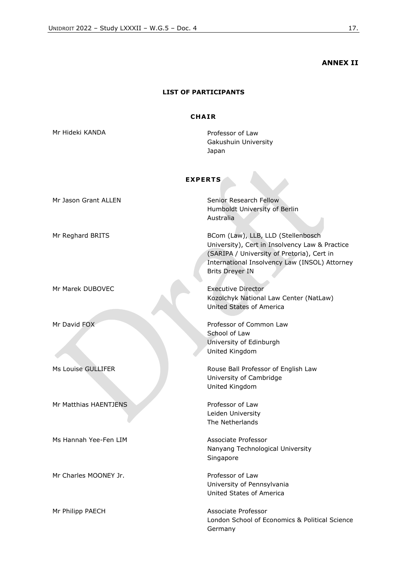#### **ANNEX II**

#### **LIST OF PARTICIPANTS**

#### **CHA IR**

<span id="page-16-0"></span>Mr Hideki KANDA **Professor of Law** Gakushuin University Japan

### **EXPERTS**

| <b>EXPERTS</b>        |                                                                                                                                                                                                               |  |  |
|-----------------------|---------------------------------------------------------------------------------------------------------------------------------------------------------------------------------------------------------------|--|--|
| Mr Jason Grant ALLEN  | Senior Research Fellow<br>Humboldt University of Berlin<br>Australia                                                                                                                                          |  |  |
| Mr Reghard BRITS      | BCom (Law), LLB, LLD (Stellenbosch<br>University), Cert in Insolvency Law & Practice<br>(SARIPA / University of Pretoria), Cert in<br>International Insolvency Law (INSOL) Attorney<br><b>Brits Dreyer IN</b> |  |  |
| Mr Marek DUBOVEC      | <b>Executive Director</b><br>Kozolchyk National Law Center (NatLaw)<br>United States of America                                                                                                               |  |  |
| Mr David FOX          | Professor of Common Law<br>School of Law<br>University of Edinburgh<br>United Kingdom                                                                                                                         |  |  |
| Ms Louise GULLIFER    | Rouse Ball Professor of English Law<br>University of Cambridge<br>United Kingdom                                                                                                                              |  |  |
| Mr Matthias HAENTJENS | Professor of Law<br>Leiden University<br>The Netherlands                                                                                                                                                      |  |  |
| Ms Hannah Yee-Fen LIM | Associate Professor<br>Nanyang Technological University<br>Singapore                                                                                                                                          |  |  |
| Mr Charles MOONEY Jr. | Professor of Law<br>University of Pennsylvania<br>United States of America                                                                                                                                    |  |  |
| Mr Philipp PAECH      | Associate Professor<br>London School of Economics & Political Science<br>Germany                                                                                                                              |  |  |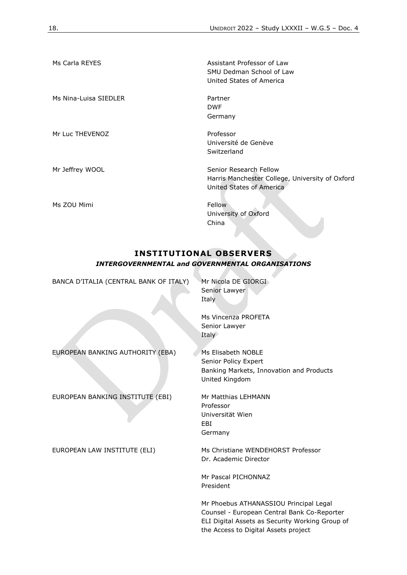| Ms Carla REYES        | Assistant Professor of Law<br>SMU Dedman School of Law<br>United States of America                    |
|-----------------------|-------------------------------------------------------------------------------------------------------|
| Ms Nina-Luisa SIEDLER | Partner<br><b>DWF</b><br>Germany                                                                      |
| Mr Luc THEVENOZ       | Professor<br>Université de Genève<br>Switzerland                                                      |
| Mr Jeffrey WOOL       | Senior Research Fellow<br>Harris Manchester College, University of Oxford<br>United States of America |
| Ms ZOU Mimi           | Fellow<br>University of Oxford<br>China                                                               |

# **INSTITUTIONAL OBSERVERS** *INTERGOVERNMENTAL and GOVERNMENTAL ORGANISATIONS*

**Contract Contract** 

| BANCA D'ITALIA (CENTRAL BANK OF ITALY) | Mr Nicola DE GIORGI<br>Senior Lawyer<br>Italy                                                                                                                                    |
|----------------------------------------|----------------------------------------------------------------------------------------------------------------------------------------------------------------------------------|
|                                        | Ms Vincenza PROFETA<br>Senior Lawyer<br>Italy                                                                                                                                    |
| EUROPEAN BANKING AUTHORITY (EBA)       | Ms Elisabeth NOBLE<br>Senior Policy Expert<br>Banking Markets, Innovation and Products<br>United Kingdom                                                                         |
| EUROPEAN BANKING INSTITUTE (EBI)       | Mr Matthias LEHMANN<br>Professor<br>Universität Wien<br>EBI<br>Germany                                                                                                           |
| EUROPEAN LAW INSTITUTE (ELI)           | Ms Christiane WENDEHORST Professor<br>Dr. Academic Director                                                                                                                      |
|                                        | Mr Pascal PICHONNAZ<br>President                                                                                                                                                 |
|                                        | Mr Phoebus ATHANASSIOU Principal Legal<br>Counsel - European Central Bank Co-Reporter<br>ELI Digital Assets as Security Working Group of<br>the Access to Digital Assets project |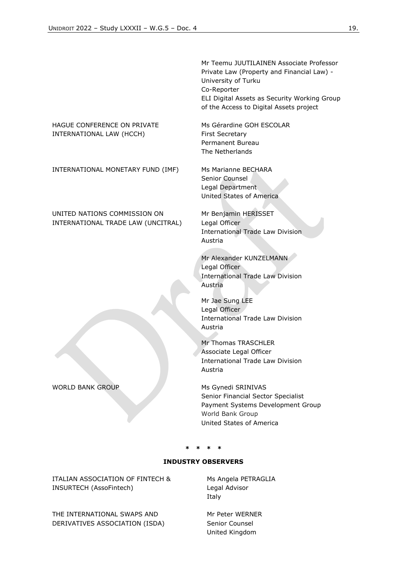#### HAGUE CONFERENCE ON PRIVATE INTERNATIONAL LAW (HCCH)

INTERNATIONAL MONETARY FUND (IMF) Ms Marianne BECHARA

UNITED NATIONS COMMISSION ON INTERNATIONAL TRADE LAW (UNCITRAL)

WORLD BANK GROUP MS Gynedi SRINIVAS

Mr Teemu JUUTILAINEN Associate Professor Private Law (Property and Financial Law) - University of Turku Co-Reporter ELI Digital Assets as Security Working Group of the Access to Digital Assets project

Ms Gérardine GOH ESCOLAR First Secretary Permanent Bureau The Netherlands

Senior Counsel Legal Department United States of America

Mr Benjamin HERISSET Legal Officer International Trade Law Division Austria

Mr Alexander KUNZELMANN Legal Officer International Trade Law Division Austria

Mr Jae Sung LEE Legal Officer International Trade Law Division Austria

Mr Thomas TRASCHLER Associate Legal Officer International Trade Law Division Austria

Senior Financial Sector Specialist Payment Systems Development Group World Bank Group United States of America

#### **\* \* \* \***

#### **INDUSTRY OBSERVERS**

ITALIAN ASSOCIATION OF FINTECH & INSURTECH (AssoFintech)

THE INTERNATIONAL SWAPS AND DERIVATIVES ASSOCIATION (ISDA) Ms Angela PETRAGLIA Legal Advisor Italy

Mr Peter WERNER Senior Counsel United Kingdom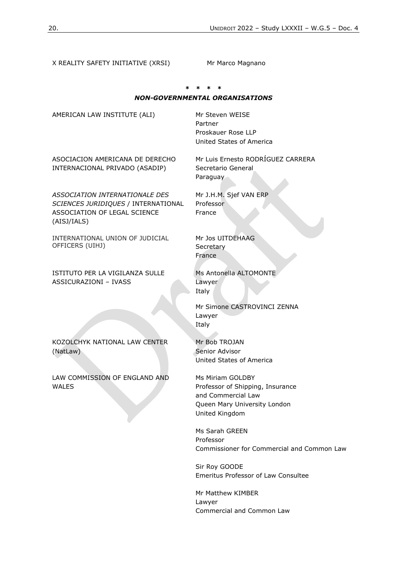X REALITY SAFETY INITIATIVE (XRSI) Mr Marco Magnano **\* \* \* \*** *NON-GOVERNMENTAL ORGANISATIONS* AMERICAN LAW INSTITUTE (ALI) Mr Steven WEISE Partner Proskauer Rose LLP United States of America ASOCIACION AMERICANA DE DERECHO INTERNACIONAL PRIVADO (ASADIP) Mr Luis Ernesto RODRÍGUEZ CARRERA Secretario General Paraguay *ASSOCIATION INTERNATIONALE DES SCIENCES JURIDIQUES* / INTERNATIONAL ASSOCIATION OF LEGAL SCIENCE (AISJ/IALS) Mr J.H.M. Sjef VAN ERP Professor France INTERNATIONAL UNION OF JUDICIAL OFFICERS (UIHJ) Mr Jos UITDEHAAG **Secretary** France ISTITUTO PER LA VIGILANZA SULLE ASSICURAZIONI – IVASS Ms Antonella ALTOMONTE Lawyer Italy Mr Simone CASTROVINCI ZENNA Lawyer Italy KOZOLCHYK NATIONAL LAW CENTER (NatLaw) Mr Bob TROJAN Senior Advisor United States of America LAW COMMISSION OF ENGLAND AND WALES Ms Miriam GOLDBY Professor of Shipping, Insurance and Commercial Law Queen Mary University London United Kingdom Ms Sarah GREEN Professor Commissioner for Commercial and Common Law Sir Roy GOODE Emeritus Professor of Law Consultee Mr Matthew KIMBER Lawyer

Commercial and Common Law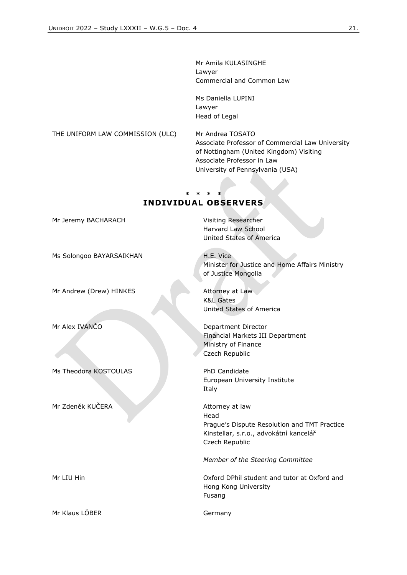Mr Amila KULASINGHE Lawyer Commercial and Common Law

Ms Daniella LUPINI Lawyer Head of Legal

THE UNIFORM LAW COMMISSION (ULC) Mr Andrea TOSATO Associate Professor of Commercial Law University of Nottingham (United Kingdom) Visiting Associate Professor in Law University of Pennsylvania (USA)

# **INDIVIDUAL OBSERVERS**

**\* \* \* \***

Mr Jeremy BACHARACH Visiting Researcher

Ms Solongoo BAYARSAIKHAN

Mr Andrew (Drew) HINKES

Ms Theodora KOSTOULAS PhD Candidate

Mr Zdeněk KUČERA Attorney at law

Mr Klaus LÖBER Germany

Harvard Law School United States of America

H.E. Vice Minister for Justice and Home Affairs Ministry of Justice Mongolia

Attorney at Law K&L Gates United States of America

Mr Alex IVANČO Department Director Financial Markets III Department Ministry of Finance Czech Republic

> European University Institute Italy

Head Prague's Dispute Resolution and TMT Practice Kinstellar, s.r.o., advokátní kancelář Czech Republic

*Member of the Steering Committee*

Mr LIU Hin Oxford DPhil student and tutor at Oxford and Hong Kong University Fusang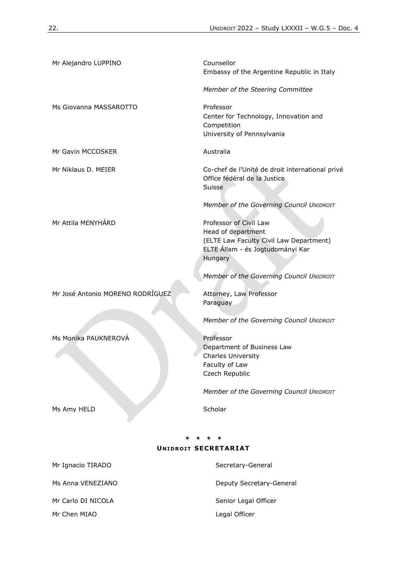| <b>UNIDROIT SECRETARIAT</b>      |                                                                                                 |  |  |  |
|----------------------------------|-------------------------------------------------------------------------------------------------|--|--|--|
|                                  |                                                                                                 |  |  |  |
| Ms Amy HELD                      | Scholar                                                                                         |  |  |  |
|                                  | Member of the Governing Council UNIDROIT                                                        |  |  |  |
|                                  | <b>Charles University</b><br>Faculty of Law<br>Czech Republic                                   |  |  |  |
| Ms Monika PAUKNEROVÁ             | Professor<br>Department of Business Law                                                         |  |  |  |
|                                  | Member of the Governing Council UNIDROIT                                                        |  |  |  |
| Mr José Antonio MORENO RODRÍGUEZ | Attorney, Law Professor<br>Paraguay                                                             |  |  |  |
|                                  | Member of the Governing Council UNIDROIT                                                        |  |  |  |
|                                  | (ELTE Law Faculty Civil Law Department)<br>ELTE Állam - és Jogtudományi Kar<br>Hungary          |  |  |  |
| Mr Attila MENYHÁRD               | Professor of Civil Law<br>Head of department                                                    |  |  |  |
|                                  | Member of the Governing Council UNIDROIT                                                        |  |  |  |
| Mr Niklaus D. MEIER              | Co-chef de l'Unité de droit international privé<br>Office fédéral de la Justice<br>Suisse       |  |  |  |
| Mr Gavin MCCOSKER                | Australia                                                                                       |  |  |  |
| Ms Giovanna MASSAROTTO           | Professor<br>Center for Technology, Innovation and<br>Competition<br>University of Pennsylvania |  |  |  |
|                                  | Member of the Steering Committee                                                                |  |  |  |
| Mr Alejandro LUPPINO             | Counsellor<br>Embassy of the Argentine Republic in Italy                                        |  |  |  |

| Mr Ignacio TIRADO  | Secretary-General        |
|--------------------|--------------------------|
| Ms Anna VENEZIANO  | Deputy Secretary-General |
| Mr Carlo DI NICOLA | Senior Legal Officer     |
| Mr Chen MIAO       | Legal Officer            |